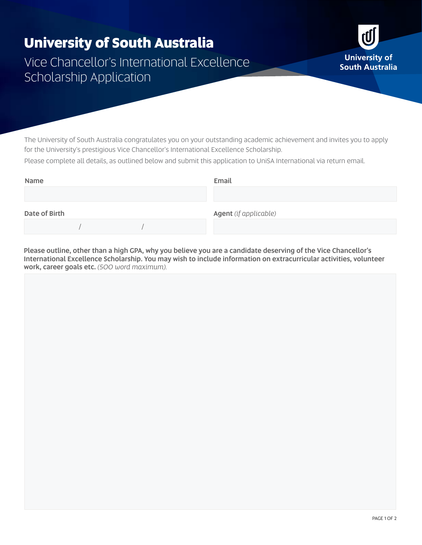## **University of South Australia**

Vice Chancellor's International Excellence Scholarship Application

The University of South Australia congratulates you on your outstanding academic achievement and invites you to apply for the University's prestigious Vice Chancellor's International Excellence Scholarship.

Please complete all details, as outlined below and submit this application to UniSA International via return email.

| Name          |  |  | Email                 |
|---------------|--|--|-----------------------|
|               |  |  |                       |
| Date of Birth |  |  | Agent (if applicable) |
|               |  |  |                       |

Please outline, other than a high GPA, why you believe you are a candidate deserving of the Vice Chancellor's International Excellence Scholarship. You may wish to include information on extracurricular activities, volunteer work, career goals etc. *(500 word maximum).*

rÜ

**University of South Australia**